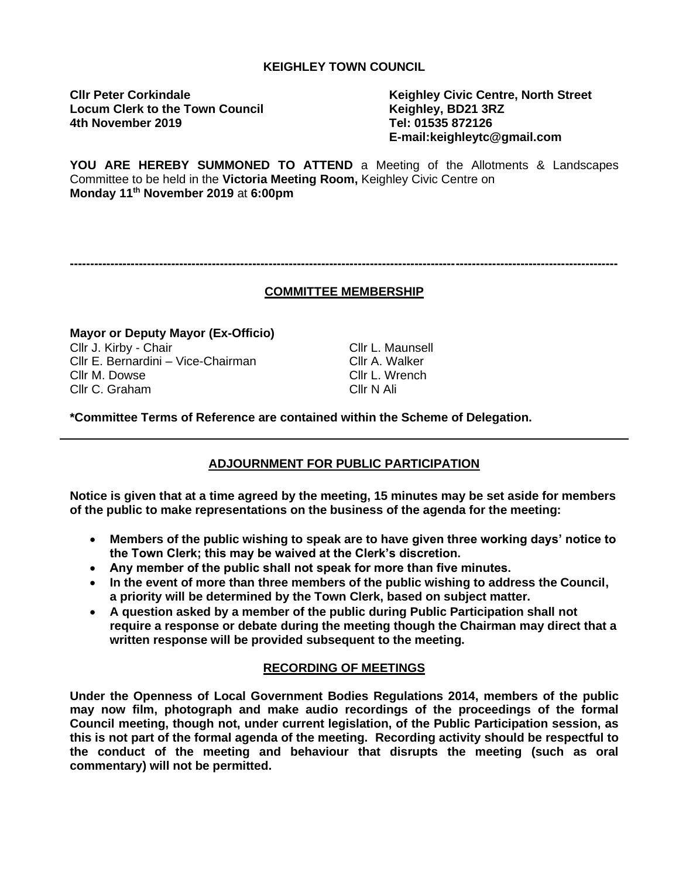#### **KEIGHLEY TOWN COUNCIL**

**Locum Clerk to the Town Council Keighley, BD21 3RZ 4th November 2019 Tel: 01535 872126**

**Cllr Peter Corkindale Keighley Civic Centre, North Street E-mail:keighleytc@gmail.com**

**YOU ARE HEREBY SUMMONED TO ATTEND** a Meeting of the Allotments & Landscapes Committee to be held in the **Victoria Meeting Room,** Keighley Civic Centre on **Monday 11th November 2019** at **6:00pm**

# **COMMITTEE MEMBERSHIP**

**---------------------------------------------------------------------------------------------------------------------------------------**

**Mayor or Deputy Mayor (Ex-Officio)** Cllr J. Kirby - Chair Cllr L. Maunsell Cllr E. Bernardini – Vice-Chairman Cllr A. Walker Cllr M. Dowse Cllr L. Wrench Cllr C. Graham Cllr N Ali

**\*Committee Terms of Reference are contained within the Scheme of Delegation.**

# **ADJOURNMENT FOR PUBLIC PARTICIPATION**

**Notice is given that at a time agreed by the meeting, 15 minutes may be set aside for members of the public to make representations on the business of the agenda for the meeting:**

- **Members of the public wishing to speak are to have given three working days' notice to the Town Clerk; this may be waived at the Clerk's discretion.**
- **Any member of the public shall not speak for more than five minutes.**
- **In the event of more than three members of the public wishing to address the Council, a priority will be determined by the Town Clerk, based on subject matter.**
- **A question asked by a member of the public during Public Participation shall not require a response or debate during the meeting though the Chairman may direct that a written response will be provided subsequent to the meeting.**

## **RECORDING OF MEETINGS**

**Under the Openness of Local Government Bodies Regulations 2014, members of the public may now film, photograph and make audio recordings of the proceedings of the formal Council meeting, though not, under current legislation, of the Public Participation session, as this is not part of the formal agenda of the meeting. Recording activity should be respectful to the conduct of the meeting and behaviour that disrupts the meeting (such as oral commentary) will not be permitted.**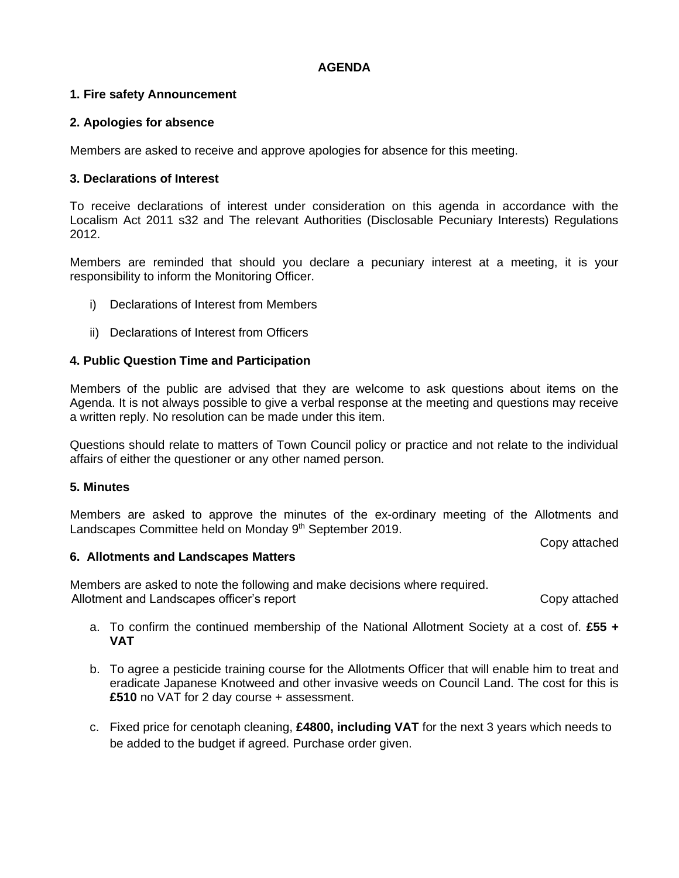## **AGENDA**

## **1. Fire safety Announcement**

# **2. Apologies for absence**

Members are asked to receive and approve apologies for absence for this meeting.

# **3. Declarations of Interest**

To receive declarations of interest under consideration on this agenda in accordance with the Localism Act 2011 s32 and The relevant Authorities (Disclosable Pecuniary Interests) Regulations 2012.

Members are reminded that should you declare a pecuniary interest at a meeting, it is your responsibility to inform the Monitoring Officer.

- i) Declarations of Interest from Members
- ii) Declarations of Interest from Officers

# **4. Public Question Time and Participation**

Members of the public are advised that they are welcome to ask questions about items on the Agenda. It is not always possible to give a verbal response at the meeting and questions may receive a written reply. No resolution can be made under this item.

Questions should relate to matters of Town Council policy or practice and not relate to the individual affairs of either the questioner or any other named person.

## **5. Minutes**

Members are asked to approve the minutes of the ex-ordinary meeting of the Allotments and Landscapes Committee held on Monday 9<sup>th</sup> September 2019.

Copy attached

## **6. Allotments and Landscapes Matters**

Members are asked to note the following and make decisions where required. Allotment and Landscapes officer's report Copy attached Copy attached

- a. To confirm the continued membership of the National Allotment Society at a cost of. **£55 + VAT**
- b. To agree a pesticide training course for the Allotments Officer that will enable him to treat and eradicate Japanese Knotweed and other invasive weeds on Council Land. The cost for this is **£510** no VAT for 2 day course + assessment.
- c. Fixed price for cenotaph cleaning, **£4800, including VAT** for the next 3 years which needs to be added to the budget if agreed. Purchase order given.